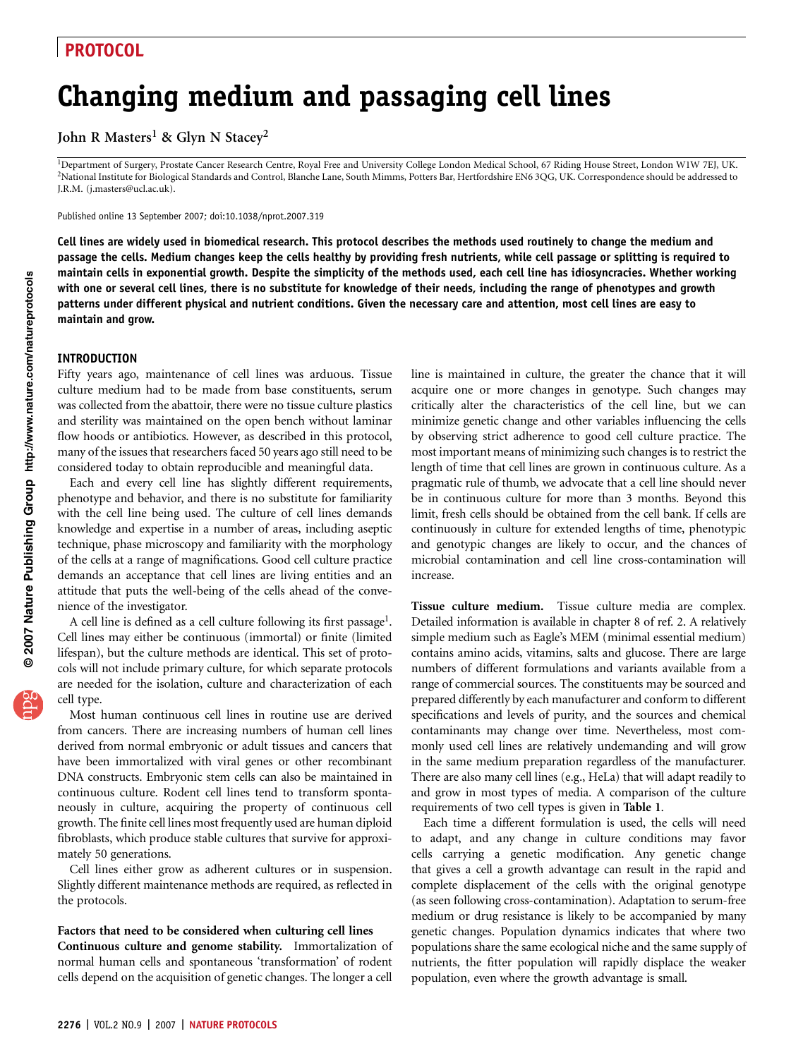# Changing medium and passaging cell lines

John R Masters<sup>1</sup> & Glyn N Stacey<sup>2</sup>

1Department of Surgery, Prostate Cancer Research Centre, Royal Free and University College London Medical School, 67 Riding House Street, London W1W 7EJ, UK. 2National Institute for Biological Standards and Control, Blanche Lane, South Mimms, Potters Bar, Hertfordshire EN6 3QG, UK. Correspondence should be addressed to J.R.M. (j.masters@ucl.ac.uk).

Published online 13 September 2007; doi:10.1038/nprot.2007.319

Cell lines are widely used in biomedical research. This protocol describes the methods used routinely to change the medium and passage the cells. Medium changes keep the cells healthy by providing fresh nutrients, while cell passage or splitting is required to maintain cells in exponential growth. Despite the simplicity of the methods used, each cell line has idiosyncracies. Whether working with one or several cell lines, there is no substitute for knowledge of their needs, including the range of phenotypes and growth patterns under different physical and nutrient conditions. Given the necessary care and attention, most cell lines are easy to maintain and grow.

### INTRODUCTION

Fifty years ago, maintenance of cell lines was arduous. Tissue culture medium had to be made from base constituents, serum was collected from the abattoir, there were no tissue culture plastics and sterility was maintained on the open bench without laminar flow hoods or antibiotics. However, as described in this protocol, many of the issues that researchers faced 50 years ago still need to be considered today to obtain reproducible and meaningful data.

Each and every cell line has slightly different requirements, phenotype and behavior, and there is no substitute for familiarity with the cell line being used. The culture of cell lines demands knowledge and expertise in a number of areas, including aseptic technique, phase microscopy and familiarity with the morphology of the cells at a range of magnifications. Good cell culture practice demands an acceptance that cell lines are living entities and an attitude that puts the well-being of the cells ahead of the convenience of the investigator.

A cell line is defined as a cell culture following its first passage<sup>1</sup>. Cell lines may either be continuous (immortal) or finite (limited lifespan), but the culture methods are identical. This set of protocols will not include primary culture, for which separate protocols are needed for the isolation, culture and characterization of each cell type.

Most human continuous cell lines in routine use are derived from cancers. There are increasing numbers of human cell lines derived from normal embryonic or adult tissues and cancers that have been immortalized with viral genes or other recombinant DNA constructs. Embryonic stem cells can also be maintained in continuous culture. Rodent cell lines tend to transform spontaneously in culture, acquiring the property of continuous cell growth. The finite cell lines most frequently used are human diploid fibroblasts, which produce stable cultures that survive for approximately 50 generations.

Cell lines either grow as adherent cultures or in suspension. Slightly different maintenance methods are required, as reflected in the protocols.

#### Factors that need to be considered when culturing cell lines

Continuous culture and genome stability. Immortalization of normal human cells and spontaneous 'transformation' of rodent cells depend on the acquisition of genetic changes. The longer a cell line is maintained in culture, the greater the chance that it will acquire one or more changes in genotype. Such changes may critically alter the characteristics of the cell line, but we can minimize genetic change and other variables influencing the cells by observing strict adherence to good cell culture practice. The most important means of minimizing such changes is to restrict the length of time that cell lines are grown in continuous culture. As a pragmatic rule of thumb, we advocate that a cell line should never be in continuous culture for more than 3 months. Beyond this limit, fresh cells should be obtained from the cell bank. If cells are continuously in culture for extended lengths of time, phenotypic and genotypic changes are likely to occur, and the chances of microbial contamination and cell line cross-contamination will increase.

Tissue culture medium. Tissue culture media are complex. Detailed information is available in chapter 8 of ref. 2. A relatively simple medium such as Eagle's MEM (minimal essential medium) contains amino acids, vitamins, salts and glucose. There are large numbers of different formulations and variants available from a range of commercial sources. The constituents may be sourced and prepared differently by each manufacturer and conform to different specifications and levels of purity, and the sources and chemical contaminants may change over time. Nevertheless, most commonly used cell lines are relatively undemanding and will grow in the same medium preparation regardless of the manufacturer. There are also many cell lines (e.g., HeLa) that will adapt readily to and grow in most types of media. A comparison of the culture requirements of two cell types is given in Table 1.

Each time a different formulation is used, the cells will need to adapt, and any change in culture conditions may favor cells carrying a genetic modification. Any genetic change that gives a cell a growth advantage can result in the rapid and complete displacement of the cells with the original genotype (as seen following cross-contamination). Adaptation to serum-free medium or drug resistance is likely to be accompanied by many genetic changes. Population dynamics indicates that where two populations share the same ecological niche and the same supply of nutrients, the fitter population will rapidly displace the weaker population, even where the growth advantage is small.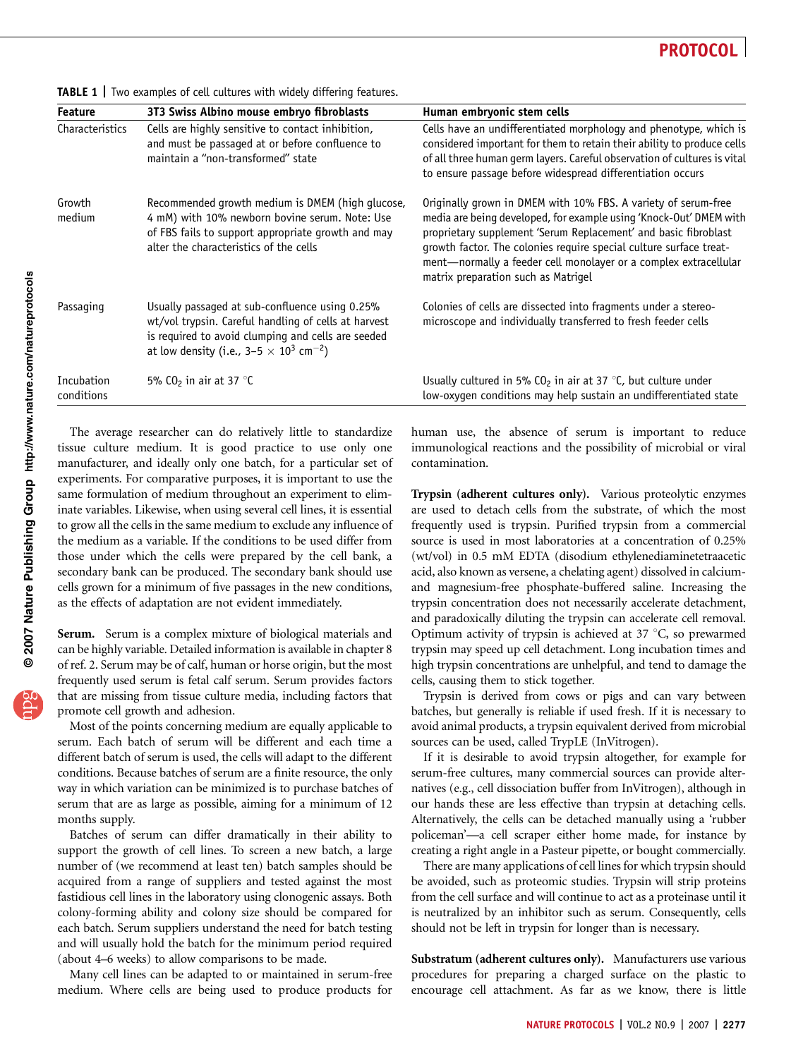**TABLE 1** | Two examples of cell cultures with widely differing features.

| Feature                  | 3T3 Swiss Albino mouse embryo fibroblasts                                                                                                                                                                                  | Human embryonic stem cells                                                                                                                                                                                                                                                                                                                                                               |
|--------------------------|----------------------------------------------------------------------------------------------------------------------------------------------------------------------------------------------------------------------------|------------------------------------------------------------------------------------------------------------------------------------------------------------------------------------------------------------------------------------------------------------------------------------------------------------------------------------------------------------------------------------------|
| Characteristics          | Cells are highly sensitive to contact inhibition,<br>and must be passaged at or before confluence to<br>maintain a "non-transformed" state                                                                                 | Cells have an undifferentiated morphology and phenotype, which is<br>considered important for them to retain their ability to produce cells<br>of all three human germ layers. Careful observation of cultures is vital<br>to ensure passage before widespread differentiation occurs                                                                                                    |
| Growth<br>medium         | Recommended growth medium is DMEM (high glucose,<br>4 mM) with 10% newborn bovine serum. Note: Use<br>of FBS fails to support appropriate growth and may<br>alter the characteristics of the cells                         | Originally grown in DMEM with 10% FBS. A variety of serum-free<br>media are being developed, for example using 'Knock-Out' DMEM with<br>proprietary supplement 'Serum Replacement' and basic fibroblast<br>growth factor. The colonies require special culture surface treat-<br>ment—normally a feeder cell monolayer or a complex extracellular<br>matrix preparation such as Matrigel |
| Passaging                | Usually passaged at sub-confluence using 0.25%<br>wt/vol trypsin. Careful handling of cells at harvest<br>is required to avoid clumping and cells are seeded<br>at low density (i.e., $3-5 \times 10^3$ cm <sup>-2</sup> ) | Colonies of cells are dissected into fragments under a stereo-<br>microscope and individually transferred to fresh feeder cells                                                                                                                                                                                                                                                          |
| Incubation<br>conditions | 5% CO <sub>2</sub> in air at 37 °C                                                                                                                                                                                         | Usually cultured in 5% $CO2$ in air at 37 °C, but culture under<br>low-oxygen conditions may help sustain an undifferentiated state                                                                                                                                                                                                                                                      |

The average researcher can do relatively little to standardize tissue culture medium. It is good practice to use only one manufacturer, and ideally only one batch, for a particular set of experiments. For comparative purposes, it is important to use the same formulation of medium throughout an experiment to eliminate variables. Likewise, when using several cell lines, it is essential to grow all the cells in the same medium to exclude any influence of the medium as a variable. If the conditions to be used differ from those under which the cells were prepared by the cell bank, a secondary bank can be produced. The secondary bank should use cells grown for a minimum of five passages in the new conditions, as the effects of adaptation are not evident immediately.

Serum. Serum is a complex mixture of biological materials and can be highly variable. Detailed information is available in chapter 8 of ref. 2. Serum may be of calf, human or horse origin, but the most frequently used serum is fetal calf serum. Serum provides factors that are missing from tissue culture media, including factors that promote cell growth and adhesion.

Most of the points concerning medium are equally applicable to serum. Each batch of serum will be different and each time a different batch of serum is used, the cells will adapt to the different conditions. Because batches of serum are a finite resource, the only way in which variation can be minimized is to purchase batches of serum that are as large as possible, aiming for a minimum of 12 months supply.

Batches of serum can differ dramatically in their ability to support the growth of cell lines. To screen a new batch, a large number of (we recommend at least ten) batch samples should be acquired from a range of suppliers and tested against the most fastidious cell lines in the laboratory using clonogenic assays. Both colony-forming ability and colony size should be compared for each batch. Serum suppliers understand the need for batch testing and will usually hold the batch for the minimum period required (about 4–6 weeks) to allow comparisons to be made.

Many cell lines can be adapted to or maintained in serum-free medium. Where cells are being used to produce products for human use, the absence of serum is important to reduce immunological reactions and the possibility of microbial or viral contamination.

Trypsin (adherent cultures only). Various proteolytic enzymes are used to detach cells from the substrate, of which the most frequently used is trypsin. Purified trypsin from a commercial source is used in most laboratories at a concentration of 0.25% (wt/vol) in 0.5 mM EDTA (disodium ethylenediaminetetraacetic acid, also known as versene, a chelating agent) dissolved in calciumand magnesium-free phosphate-buffered saline. Increasing the trypsin concentration does not necessarily accelerate detachment, and paradoxically diluting the trypsin can accelerate cell removal. Optimum activity of trypsin is achieved at 37 $\degree$ C, so prewarmed trypsin may speed up cell detachment. Long incubation times and high trypsin concentrations are unhelpful, and tend to damage the cells, causing them to stick together.

Trypsin is derived from cows or pigs and can vary between batches, but generally is reliable if used fresh. If it is necessary to avoid animal products, a trypsin equivalent derived from microbial sources can be used, called TrypLE (InVitrogen).

If it is desirable to avoid trypsin altogether, for example for serum-free cultures, many commercial sources can provide alternatives (e.g., cell dissociation buffer from InVitrogen), although in our hands these are less effective than trypsin at detaching cells. Alternatively, the cells can be detached manually using a 'rubber policeman'—a cell scraper either home made, for instance by creating a right angle in a Pasteur pipette, or bought commercially.

There are many applications of cell lines for which trypsin should be avoided, such as proteomic studies. Trypsin will strip proteins from the cell surface and will continue to act as a proteinase until it is neutralized by an inhibitor such as serum. Consequently, cells should not be left in trypsin for longer than is necessary.

Substratum (adherent cultures only). Manufacturers use various procedures for preparing a charged surface on the plastic to encourage cell attachment. As far as we know, there is little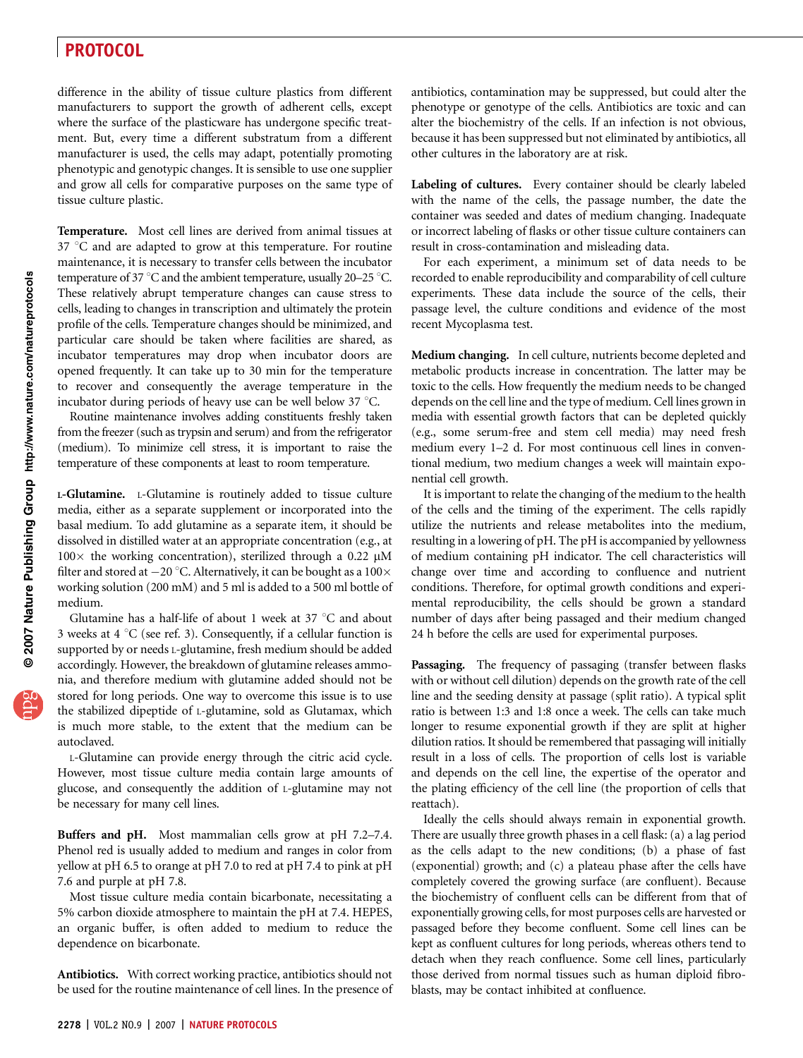difference in the ability of tissue culture plastics from different manufacturers to support the growth of adherent cells, except where the surface of the plasticware has undergone specific treatment. But, every time a different substratum from a different manufacturer is used, the cells may adapt, potentially promoting phenotypic and genotypic changes. It is sensible to use one supplier and grow all cells for comparative purposes on the same type of tissue culture plastic.

Temperature. Most cell lines are derived from animal tissues at  $37 \text{ °C}$  and are adapted to grow at this temperature. For routine maintenance, it is necessary to transfer cells between the incubator temperature of 37  $\degree$ C and the ambient temperature, usually 20–25  $\degree$ C. These relatively abrupt temperature changes can cause stress to cells, leading to changes in transcription and ultimately the protein profile of the cells. Temperature changes should be minimized, and particular care should be taken where facilities are shared, as incubator temperatures may drop when incubator doors are opened frequently. It can take up to 30 min for the temperature to recover and consequently the average temperature in the incubator during periods of heavy use can be well below  $37 \degree C$ .

Routine maintenance involves adding constituents freshly taken from the freezer (such as trypsin and serum) and from the refrigerator (medium). To minimize cell stress, it is important to raise the temperature of these components at least to room temperature.

L-Glutamine. L-Glutamine is routinely added to tissue culture media, either as a separate supplement or incorporated into the basal medium. To add glutamine as a separate item, it should be dissolved in distilled water at an appropriate concentration (e.g., at  $100 \times$  the working concentration), sterilized through a 0.22  $\mu$ M filter and stored at  $-20\,^{\circ}$ C. Alternatively, it can be bought as a  $100\times$ working solution (200 mM) and 5 ml is added to a 500 ml bottle of medium.

Glutamine has a half-life of about 1 week at 37  $\degree$ C and about 3 weeks at 4  $\degree$ C (see ref. 3). Consequently, if a cellular function is supported by or needs L-glutamine, fresh medium should be added accordingly. However, the breakdown of glutamine releases ammonia, and therefore medium with glutamine added should not be stored for long periods. One way to overcome this issue is to use the stabilized dipeptide of L-glutamine, sold as Glutamax, which is much more stable, to the extent that the medium can be autoclaved.

L-Glutamine can provide energy through the citric acid cycle. However, most tissue culture media contain large amounts of glucose, and consequently the addition of L-glutamine may not be necessary for many cell lines.

Buffers and pH. Most mammalian cells grow at pH 7.2–7.4. Phenol red is usually added to medium and ranges in color from yellow at pH 6.5 to orange at pH 7.0 to red at pH 7.4 to pink at pH 7.6 and purple at pH 7.8.

Most tissue culture media contain bicarbonate, necessitating a 5% carbon dioxide atmosphere to maintain the pH at 7.4. HEPES, an organic buffer, is often added to medium to reduce the dependence on bicarbonate.

Antibiotics. With correct working practice, antibiotics should not be used for the routine maintenance of cell lines. In the presence of antibiotics, contamination may be suppressed, but could alter the phenotype or genotype of the cells. Antibiotics are toxic and can alter the biochemistry of the cells. If an infection is not obvious, because it has been suppressed but not eliminated by antibiotics, all other cultures in the laboratory are at risk.

Labeling of cultures. Every container should be clearly labeled with the name of the cells, the passage number, the date the container was seeded and dates of medium changing. Inadequate or incorrect labeling of flasks or other tissue culture containers can result in cross-contamination and misleading data.

For each experiment, a minimum set of data needs to be recorded to enable reproducibility and comparability of cell culture experiments. These data include the source of the cells, their passage level, the culture conditions and evidence of the most recent Mycoplasma test.

Medium changing. In cell culture, nutrients become depleted and metabolic products increase in concentration. The latter may be toxic to the cells. How frequently the medium needs to be changed depends on the cell line and the type of medium. Cell lines grown in media with essential growth factors that can be depleted quickly (e.g., some serum-free and stem cell media) may need fresh medium every 1–2 d. For most continuous cell lines in conventional medium, two medium changes a week will maintain exponential cell growth.

It is important to relate the changing of the medium to the health of the cells and the timing of the experiment. The cells rapidly utilize the nutrients and release metabolites into the medium, resulting in a lowering of pH. The pH is accompanied by yellowness of medium containing pH indicator. The cell characteristics will change over time and according to confluence and nutrient conditions. Therefore, for optimal growth conditions and experimental reproducibility, the cells should be grown a standard number of days after being passaged and their medium changed 24 h before the cells are used for experimental purposes.

Passaging. The frequency of passaging (transfer between flasks with or without cell dilution) depends on the growth rate of the cell line and the seeding density at passage (split ratio). A typical split ratio is between 1:3 and 1:8 once a week. The cells can take much longer to resume exponential growth if they are split at higher dilution ratios. It should be remembered that passaging will initially result in a loss of cells. The proportion of cells lost is variable and depends on the cell line, the expertise of the operator and the plating efficiency of the cell line (the proportion of cells that reattach).

Ideally the cells should always remain in exponential growth. There are usually three growth phases in a cell flask: (a) a lag period as the cells adapt to the new conditions; (b) a phase of fast (exponential) growth; and (c) a plateau phase after the cells have completely covered the growing surface (are confluent). Because the biochemistry of confluent cells can be different from that of exponentially growing cells, for most purposes cells are harvested or passaged before they become confluent. Some cell lines can be kept as confluent cultures for long periods, whereas others tend to detach when they reach confluence. Some cell lines, particularly those derived from normal tissues such as human diploid fibroblasts, may be contact inhibited at confluence.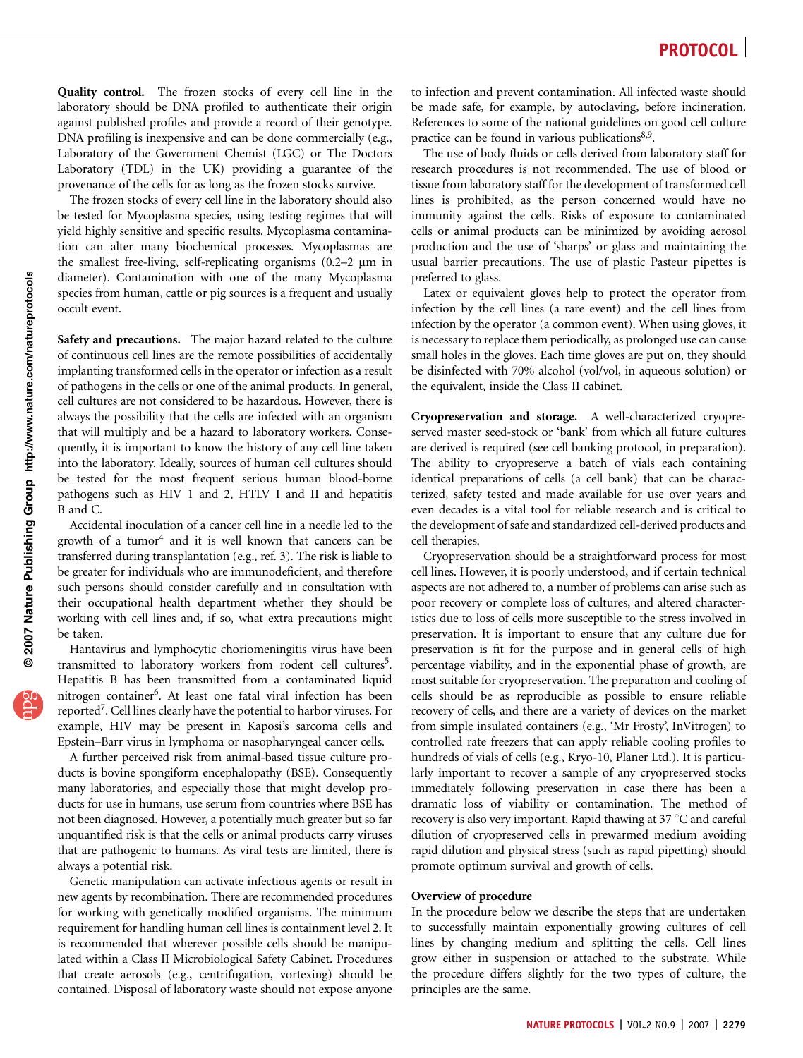Quality control. The frozen stocks of every cell line in the laboratory should be DNA profiled to authenticate their origin against published profiles and provide a record of their genotype. DNA profiling is inexpensive and can be done commercially (e.g., Laboratory of the Government Chemist (LGC) or The Doctors Laboratory (TDL) in the UK) providing a guarantee of the provenance of the cells for as long as the frozen stocks survive.

The frozen stocks of every cell line in the laboratory should also be tested for Mycoplasma species, using testing regimes that will yield highly sensitive and specific results. Mycoplasma contamination can alter many biochemical processes. Mycoplasmas are the smallest free-living, self-replicating organisms  $(0.2-2 \mu m)$  in diameter). Contamination with one of the many Mycoplasma species from human, cattle or pig sources is a frequent and usually occult event.

Safety and precautions. The major hazard related to the culture of continuous cell lines are the remote possibilities of accidentally implanting transformed cells in the operator or infection as a result of pathogens in the cells or one of the animal products. In general, cell cultures are not considered to be hazardous. However, there is always the possibility that the cells are infected with an organism that will multiply and be a hazard to laboratory workers. Consequently, it is important to know the history of any cell line taken into the laboratory. Ideally, sources of human cell cultures should be tested for the most frequent serious human blood-borne pathogens such as HIV 1 and 2, HTLV I and II and hepatitis B and C.

Accidental inoculation of a cancer cell line in a needle led to the growth of a tumor<sup>4</sup> and it is well known that cancers can be transferred during transplantation (e.g., ref. 3). The risk is liable to be greater for individuals who are immunodeficient, and therefore such persons should consider carefully and in consultation with their occupational health department whether they should be working with cell lines and, if so, what extra precautions might be taken.

Hantavirus and lymphocytic choriomeningitis virus have been transmitted to laboratory workers from rodent cell cultures<sup>5</sup>. Hepatitis B has been transmitted from a contaminated liquid nitrogen container<sup>6</sup>. At least one fatal viral infection has been reported<sup>7</sup>. Cell lines clearly have the potential to harbor viruses. For example, HIV may be present in Kaposi's sarcoma cells and Epstein–Barr virus in lymphoma or nasopharyngeal cancer cells.

A further perceived risk from animal-based tissue culture products is bovine spongiform encephalopathy (BSE). Consequently many laboratories, and especially those that might develop products for use in humans, use serum from countries where BSE has not been diagnosed. However, a potentially much greater but so far unquantified risk is that the cells or animal products carry viruses that are pathogenic to humans. As viral tests are limited, there is always a potential risk.

Genetic manipulation can activate infectious agents or result in new agents by recombination. There are recommended procedures for working with genetically modified organisms. The minimum requirement for handling human cell lines is containment level 2. It is recommended that wherever possible cells should be manipulated within a Class II Microbiological Safety Cabinet. Procedures that create aerosols (e.g., centrifugation, vortexing) should be contained. Disposal of laboratory waste should not expose anyone to infection and prevent contamination. All infected waste should be made safe, for example, by autoclaving, before incineration. References to some of the national guidelines on good cell culture practice can be found in various publications $8,9$ .

The use of body fluids or cells derived from laboratory staff for research procedures is not recommended. The use of blood or tissue from laboratory staff for the development of transformed cell lines is prohibited, as the person concerned would have no immunity against the cells. Risks of exposure to contaminated cells or animal products can be minimized by avoiding aerosol production and the use of 'sharps' or glass and maintaining the usual barrier precautions. The use of plastic Pasteur pipettes is preferred to glass.

Latex or equivalent gloves help to protect the operator from infection by the cell lines (a rare event) and the cell lines from infection by the operator (a common event). When using gloves, it is necessary to replace them periodically, as prolonged use can cause small holes in the gloves. Each time gloves are put on, they should be disinfected with 70% alcohol (vol/vol, in aqueous solution) or the equivalent, inside the Class II cabinet.

Cryopreservation and storage. A well-characterized cryopreserved master seed-stock or 'bank' from which all future cultures are derived is required (see cell banking protocol, in preparation). The ability to cryopreserve a batch of vials each containing identical preparations of cells (a cell bank) that can be characterized, safety tested and made available for use over years and even decades is a vital tool for reliable research and is critical to the development of safe and standardized cell-derived products and cell therapies.

Cryopreservation should be a straightforward process for most cell lines. However, it is poorly understood, and if certain technical aspects are not adhered to, a number of problems can arise such as poor recovery or complete loss of cultures, and altered characteristics due to loss of cells more susceptible to the stress involved in preservation. It is important to ensure that any culture due for preservation is fit for the purpose and in general cells of high percentage viability, and in the exponential phase of growth, are most suitable for cryopreservation. The preparation and cooling of cells should be as reproducible as possible to ensure reliable recovery of cells, and there are a variety of devices on the market from simple insulated containers (e.g., 'Mr Frosty', InVitrogen) to controlled rate freezers that can apply reliable cooling profiles to hundreds of vials of cells (e.g., Kryo-10, Planer Ltd.). It is particularly important to recover a sample of any cryopreserved stocks immediately following preservation in case there has been a dramatic loss of viability or contamination. The method of recovery is also very important. Rapid thawing at 37  $\mathrm{^{\circ}C}$  and careful dilution of cryopreserved cells in prewarmed medium avoiding rapid dilution and physical stress (such as rapid pipetting) should promote optimum survival and growth of cells.

#### Overview of procedure

In the procedure below we describe the steps that are undertaken to successfully maintain exponentially growing cultures of cell lines by changing medium and splitting the cells. Cell lines grow either in suspension or attached to the substrate. While the procedure differs slightly for the two types of culture, the principles are the same.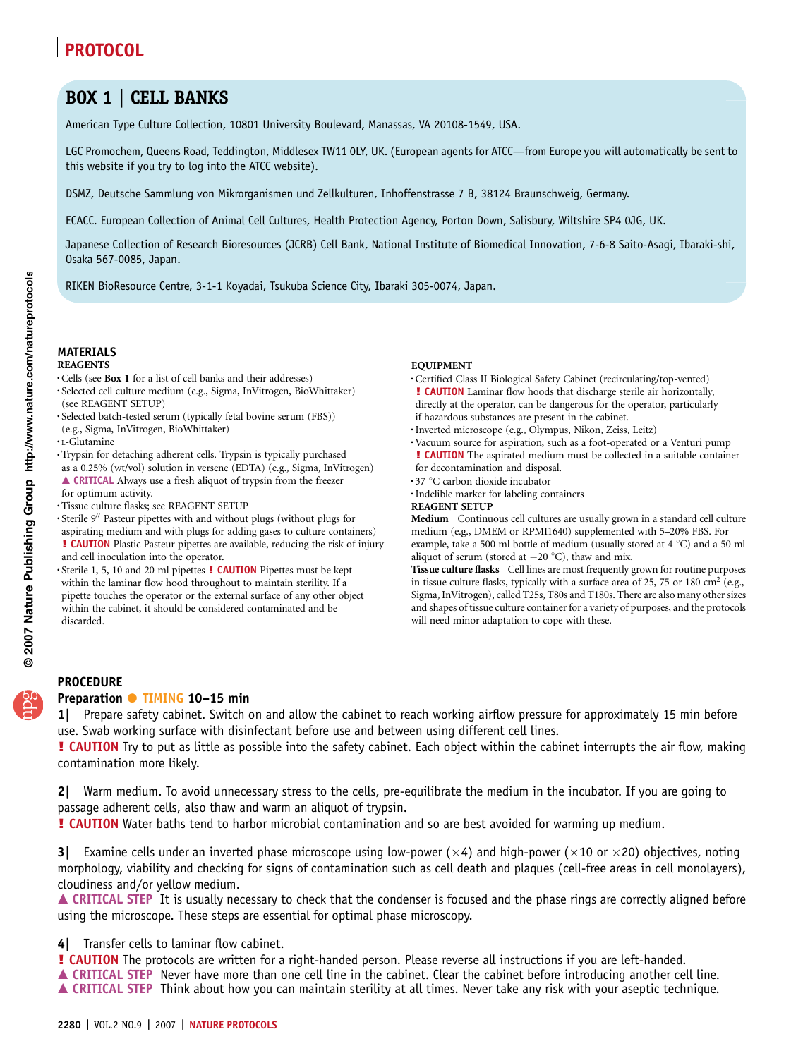## BOX 1 | CELL BANKS

American Type Culture Collection, 10801 University Boulevard, Manassas, VA 20108-1549, USA.

LGC Promochem, Queens Road, Teddington, Middlesex TW11 0LY, UK. (European agents for ATCC—from Europe you will automatically be sent to this website if you try to log into the ATCC website).

DSMZ, Deutsche Sammlung von Mikrorganismen und Zellkulturen, Inhoffenstrasse 7 B, 38124 Braunschweig, Germany.

ECACC. European Collection of Animal Cell Cultures, Health Protection Agency, Porton Down, Salisbury, Wiltshire SP4 0JG, UK.

Japanese Collection of Research Bioresources (JCRB) Cell Bank, National Institute of Biomedical Innovation, 7-6-8 Saito-Asagi, Ibaraki-shi, Osaka 567-0085, Japan.

RIKEN BioResource Centre, 3-1-1 Koyadai, Tsukuba Science City, Ibaraki 305-0074, Japan.

#### MATERIALS REAGENTS

- 
- Cells (see **Box 1** for a list of cell banks and their addresses)<br>• Selected cell culture medium (e.g., Sigma, InVitrogen, BioWhittaker) (see REAGENT SETUP)
- .Selected batch-tested serum (typically fetal bovine serum (FBS))
- (e.g., Sigma, InVitrogen, BioWhittaker)
- . L-Glutamine
- .Trypsin for detaching adherent cells. Trypsin is typically purchased
- as a 0.25% (wt/vol) solution in versene (EDTA) (e.g., Sigma, InVitrogen) **A CRITICAL** Always use a fresh aliquot of trypsin from the freezer for optimum activity.
- .Tissue culture flasks; see REAGENT SETUP
- . Sterile 9<sup>"</sup> Pasteur pipettes with and without plugs (without plugs for
- aspirating medium and with plugs for adding gases to culture containers) ! CAUTION Plastic Pasteur pipettes are available, reducing the risk of injury and cell inoculation into the operator.

Sterile 1, 5, 10 and 20 ml pipettes **! CAUTION** Pipettes must be kept within the laminar flow hood throughout to maintain sterility. If a pipette touches the operator or the external surface of any other object within the cabinet, it should be considered contaminated and be discarded.

#### EQUIPMENT

- .Certified Class II Biological Safety Cabinet (recirculating/top-vented) ! CAUTION Laminar flow hoods that discharge sterile air horizontally, directly at the operator, can be dangerous for the operator, particularly
- if hazardous substances are present in the cabinet.
- .Inverted microscope (e.g., Olympus, Nikon, Zeiss, Leitz)
- .Vacuum source for aspiration, such as a foot-operated or a Venturi pump ! CAUTION The aspirated medium must be collected in a suitable container for decontamination and disposal.
- 
- $\cdot$  37 °C carbon dioxide incubator  $\cdot$ Indelible marker for labeling containers

#### REAGENT SETUP

Medium Continuous cell cultures are usually grown in a standard cell culture medium (e.g., DMEM or RPMI1640) supplemented with 5–20% FBS. For example, take a 500 ml bottle of medium (usually stored at 4  $^{\circ} \mathrm{C})$  and a 50 ml aliquot of serum (stored at  $-20$  °C), thaw and mix.

Tissue culture flasks Cell lines are most frequently grown for routine purposes in tissue culture flasks, typically with a surface area of 25, 75 or 180 cm<sup>2</sup> (e.g., Sigma, InVitrogen), called T25s, T80s and T180s. There are also many other sizes and shapes of tissue culture container for a variety of purposes, and the protocols will need minor adaptation to cope with these.

### **PROCEDURE**

### Preparation ● TIMING 10-15 min

1| Prepare safety cabinet. Switch on and allow the cabinet to reach working airflow pressure for approximately 15 min before use. Swab working surface with disinfectant before use and between using different cell lines.

**! CAUTION** Try to put as little as possible into the safety cabinet. Each object within the cabinet interrupts the air flow, making contamination more likely.

2| Warm medium. To avoid unnecessary stress to the cells, pre-equilibrate the medium in the incubator. If you are going to passage adherent cells, also thaw and warm an aliquot of trypsin.

! CAUTION Water baths tend to harbor microbial contamination and so are best avoided for warming up medium.

**3** Examine cells under an inverted phase microscope using low-power ( $\times$ 4) and high-power ( $\times$ 10 or  $\times$ 20) objectives, noting morphology, viability and checking for signs of contamination such as cell death and plaques (cell-free areas in cell monolayers), cloudiness and/or yellow medium.

▲ CRITICAL STEP It is usually necessary to check that the condenser is focused and the phase rings are correctly aligned before using the microscope. These steps are essential for optimal phase microscopy.

4| Transfer cells to laminar flow cabinet.

! CAUTION The protocols are written for a right-handed person. Please reverse all instructions if you are left-handed.

▲ CRITICAL STEP Never have more than one cell line in the cabinet. Clear the cabinet before introducing another cell line.

▲ CRITICAL STEP Think about how you can maintain sterility at all times. Never take any risk with your aseptic technique.

**w w//: ptt h**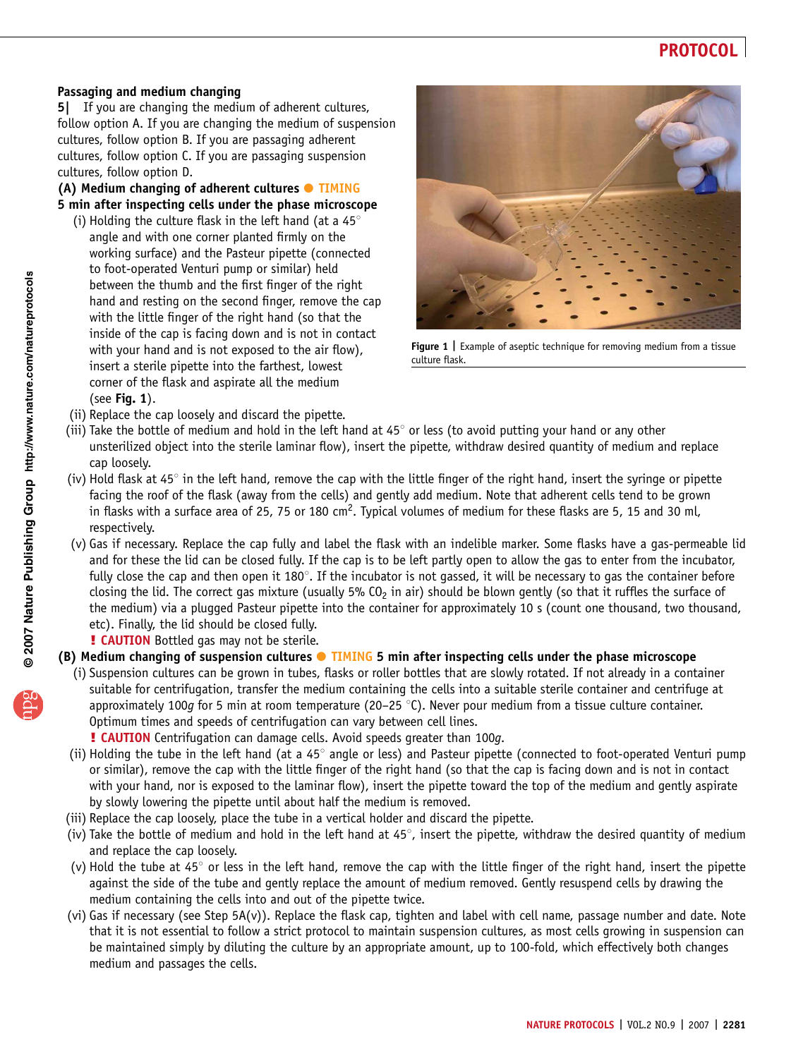### Passaging and medium changing

5| If you are changing the medium of adherent cultures, follow option A. If you are changing the medium of suspension cultures, follow option B. If you are passaging adherent cultures, follow option C. If you are passaging suspension cultures, follow option D.

## (A) Medium changing of adherent cultures  $\bullet$  TIMING 5 min after inspecting cells under the phase microscope

(i) Holding the culture flask in the left hand (at a  $45^\circ$ angle and with one corner planted firmly on the working surface) and the Pasteur pipette (connected to foot-operated Venturi pump or similar) held between the thumb and the first finger of the right hand and resting on the second finger, remove the cap with the little finger of the right hand (so that the inside of the cap is facing down and is not in contact with your hand and is not exposed to the air flow), insert a sterile pipette into the farthest, lowest corner of the flask and aspirate all the medium (see Fig.  $1$ ).



Figure 1 | Example of aseptic technique for removing medium from a tissue culture flask.

- (ii) Replace the cap loosely and discard the pipette.
- (iii) Take the bottle of medium and hold in the left hand at  $45^\circ$  or less (to avoid putting your hand or any other unsterilized object into the sterile laminar flow), insert the pipette, withdraw desired quantity of medium and replace cap loosely.
- (iv) Hold flask at  $45^\circ$  in the left hand, remove the cap with the little finger of the right hand, insert the syringe or pipette facing the roof of the flask (away from the cells) and gently add medium. Note that adherent cells tend to be grown in flasks with a surface area of 25, 75 or 180 cm<sup>2</sup>. Typical volumes of medium for these flasks are 5, 15 and 30 ml, respectively.
- (v) Gas if necessary. Replace the cap fully and label the flask with an indelible marker. Some flasks have a gas-permeable lid and for these the lid can be closed fully. If the cap is to be left partly open to allow the gas to enter from the incubator, fully close the cap and then open it 180 $^{\circ}$ . If the incubator is not gassed, it will be necessary to gas the container before closing the lid. The correct gas mixture (usually 5%  $C_2$  in air) should be blown gently (so that it ruffles the surface of the medium) via a plugged Pasteur pipette into the container for approximately 10 s (count one thousand, two thousand, etc). Finally, the lid should be closed fully.

**! CAUTION** Bottled gas may not be sterile.

### (B) Medium changing of suspension cultures  $\bullet$  TIMING 5 min after inspecting cells under the phase microscope

(i) Suspension cultures can be grown in tubes, flasks or roller bottles that are slowly rotated. If not already in a container suitable for centrifugation, transfer the medium containing the cells into a suitable sterile container and centrifuge at approximately 100q for 5 min at room temperature (20–25 °C). Never pour medium from a tissue culture container. Optimum times and speeds of centrifugation can vary between cell lines.

**! CAUTION** Centrifugation can damage cells. Avoid speeds greater than 100g.

- (ii) Holding the tube in the left hand (at a  $45^\circ$  angle or less) and Pasteur pipette (connected to foot-operated Venturi pump or similar), remove the cap with the little finger of the right hand (so that the cap is facing down and is not in contact with your hand, nor is exposed to the laminar flow), insert the pipette toward the top of the medium and gently aspirate by slowly lowering the pipette until about half the medium is removed.
- (iii) Replace the cap loosely, place the tube in a vertical holder and discard the pipette.
- (iv) Take the bottle of medium and hold in the left hand at  $45^\circ$ , insert the pipette, withdraw the desired quantity of medium and replace the cap loosely.
- (v) Hold the tube at 45 $^{\circ}$  or less in the left hand, remove the cap with the little finger of the right hand, insert the pipette against the side of the tube and gently replace the amount of medium removed. Gently resuspend cells by drawing the medium containing the cells into and out of the pipette twice.
- (vi) Gas if necessary (see Step 5A(v)). Replace the flask cap, tighten and label with cell name, passage number and date. Note that it is not essential to follow a strict protocol to maintain suspension cultures, as most cells growing in suspension can be maintained simply by diluting the culture by an appropriate amount, up to 100-fold, which effectively both changes medium and passages the cells.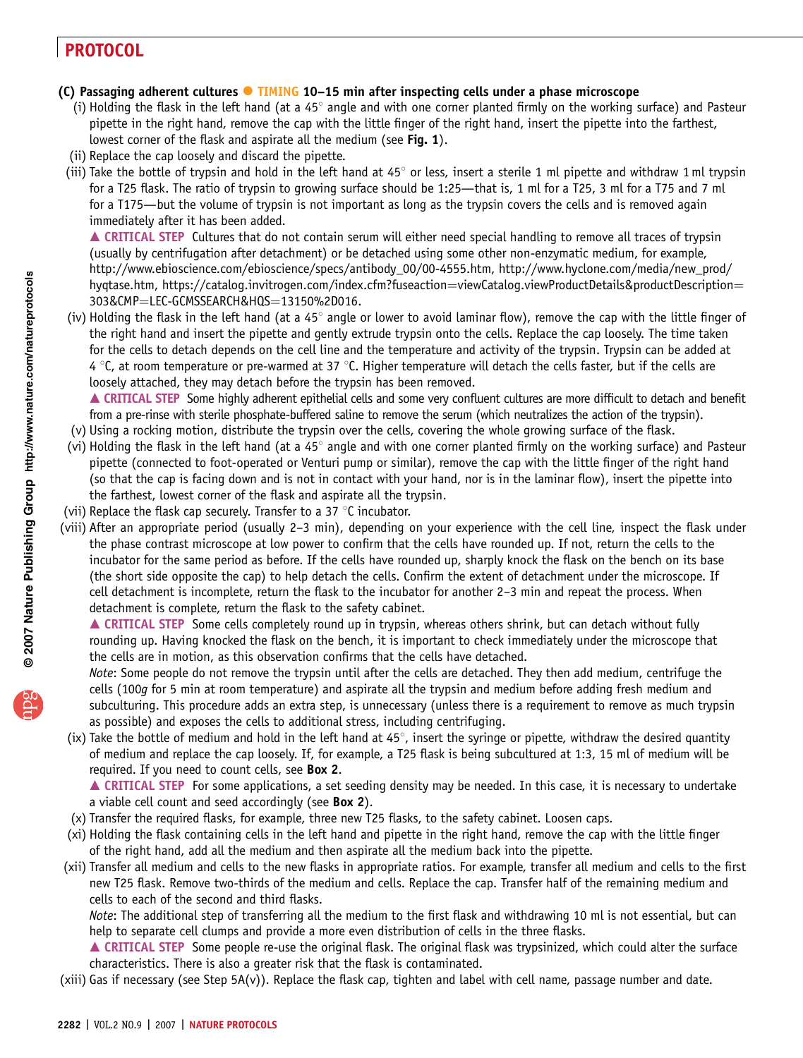## (C) Passaging adherent cultures  $\bullet$  TIMING 10–15 min after inspecting cells under a phase microscope

- (i) Holding the flask in the left hand (at a  $45^\circ$  angle and with one corner planted firmly on the working surface) and Pasteur pipette in the right hand, remove the cap with the little finger of the right hand, insert the pipette into the farthest, lowest corner of the flask and aspirate all the medium (see Fig. 1).
- (ii) Replace the cap loosely and discard the pipette.
- (iii) Take the bottle of trypsin and hold in the left hand at 45 $^{\circ}$  or less, insert a sterile 1 ml pipette and withdraw 1 ml trypsin for a T25 flask. The ratio of trypsin to growing surface should be 1:25—that is, 1 ml for a T25, 3 ml for a T75 and 7 ml for a T175—but the volume of trypsin is not important as long as the trypsin covers the cells and is removed again immediately after it has been added.

▲ CRITICAL STEP Cultures that do not contain serum will either need special handling to remove all traces of trypsin (usually by centrifugation after detachment) or be detached using some other non-enzymatic medium, for example, http://www.ebioscience.com/ebioscience/specs/antibody\_00/00-4555.htm, http://www.hyclone.com/media/new\_prod/ hygtase.htm, https://catalog.invitrogen.com/index.cfm?fuseaction=viewCatalog.viewProductDetails&productDescription= 303&CMP=LEC-GCMSSEARCH&HQS=13150%2D016.

(iv) Holding the flask in the left hand (at a 45 $^{\circ}$  angle or lower to avoid laminar flow), remove the cap with the little finger of the right hand and insert the pipette and gently extrude trypsin onto the cells. Replace the cap loosely. The time taken for the cells to detach depends on the cell line and the temperature and activity of the trypsin. Trypsin can be added at 4  $°C$ , at room temperature or pre-warmed at 37  $°C$ . Higher temperature will detach the cells faster, but if the cells are loosely attached, they may detach before the trypsin has been removed.

■ CRITICAL STEP Some highly adherent epithelial cells and some very confluent cultures are more difficult to detach and benefit from a pre-rinse with sterile phosphate-buffered saline to remove the serum (which neutralizes the action of the trypsin).

- (v) Using a rocking motion, distribute the trypsin over the cells, covering the whole growing surface of the flask.
- (vi) Holding the flask in the left hand (at a  $45^\circ$  angle and with one corner planted firmly on the working surface) and Pasteur pipette (connected to foot-operated or Venturi pump or similar), remove the cap with the little finger of the right hand (so that the cap is facing down and is not in contact with your hand, nor is in the laminar flow), insert the pipette into the farthest, lowest corner of the flask and aspirate all the trypsin.
- (vii) Replace the flask cap securely. Transfer to a 37  $\degree$ C incubator.
- (viii) After an appropriate period (usually 2–3 min), depending on your experience with the cell line, inspect the flask under the phase contrast microscope at low power to confirm that the cells have rounded up. If not, return the cells to the incubator for the same period as before. If the cells have rounded up, sharply knock the flask on the bench on its base (the short side opposite the cap) to help detach the cells. Confirm the extent of detachment under the microscope. If cell detachment is incomplete, return the flask to the incubator for another 2–3 min and repeat the process. When detachment is complete, return the flask to the safety cabinet.

▲ CRITICAL STEP Some cells completely round up in trypsin, whereas others shrink, but can detach without fully rounding up. Having knocked the flask on the bench, it is important to check immediately under the microscope that the cells are in motion, as this observation confirms that the cells have detached.

- Note: Some people do not remove the trypsin until after the cells are detached. They then add medium, centrifuge the cells (100g for 5 min at room temperature) and aspirate all the trypsin and medium before adding fresh medium and subculturing. This procedure adds an extra step, is unnecessary (unless there is a requirement to remove as much trypsin as possible) and exposes the cells to additional stress, including centrifuging.
- (ix) Take the bottle of medium and hold in the left hand at  $45^{\circ}$ , insert the syringe or pipette, withdraw the desired quantity of medium and replace the cap loosely. If, for example, a T25 flask is being subcultured at 1:3, 15 ml of medium will be required. If you need to count cells, see Box 2.
	- ▲ CRITICAL STEP For some applications, a set seeding density may be needed. In this case, it is necessary to undertake a viable cell count and seed accordingly (see Box 2).
- (x) Transfer the required flasks, for example, three new T25 flasks, to the safety cabinet. Loosen caps.
- (xi) Holding the flask containing cells in the left hand and pipette in the right hand, remove the cap with the little finger of the right hand, add all the medium and then aspirate all the medium back into the pipette.
- (xii) Transfer all medium and cells to the new flasks in appropriate ratios. For example, transfer all medium and cells to the first new T25 flask. Remove two-thirds of the medium and cells. Replace the cap. Transfer half of the remaining medium and cells to each of the second and third flasks.

Note: The additional step of transferring all the medium to the first flask and withdrawing 10 ml is not essential, but can help to separate cell clumps and provide a more even distribution of cells in the three flasks.

▲ CRITICAL STEP Some people re-use the original flask. The original flask was trypsinized, which could alter the surface characteristics. There is also a greater risk that the flask is contaminated.

(xiii) Gas if necessary (see Step 5A(v)). Replace the flask cap, tighten and label with cell name, passage number and date.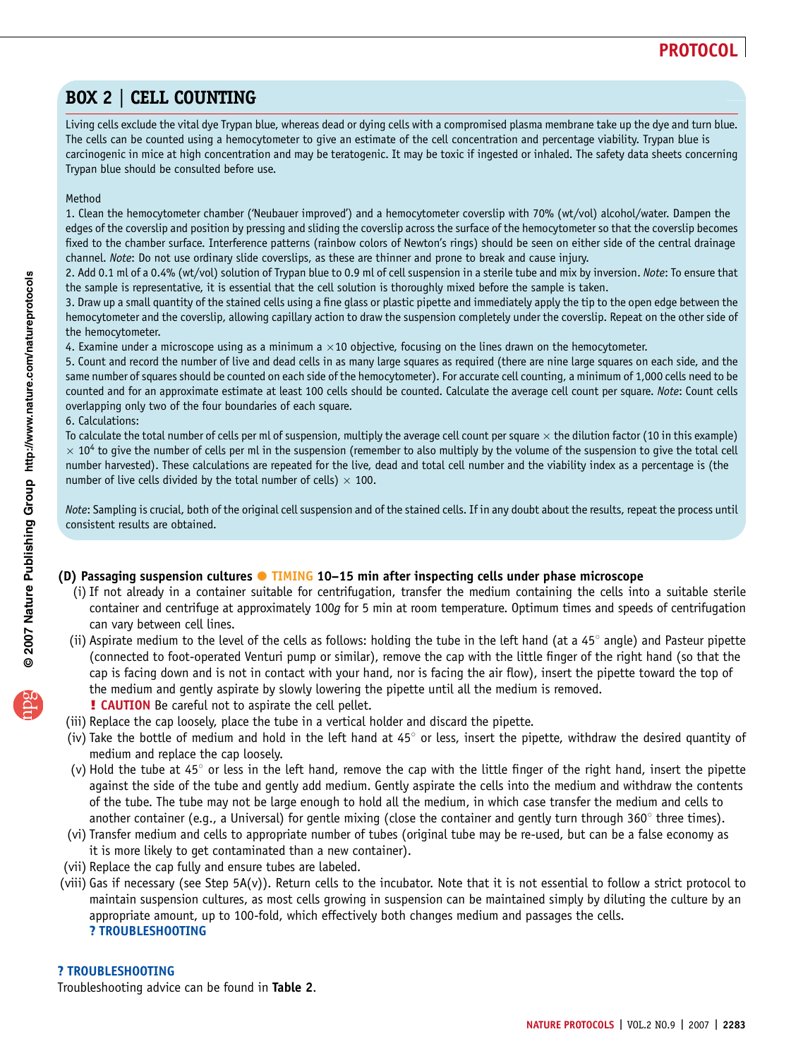## BOX 2 | CELL COUNTING

Living cells exclude the vital dye Trypan blue, whereas dead or dying cells with a compromised plasma membrane take up the dye and turn blue. The cells can be counted using a hemocytometer to give an estimate of the cell concentration and percentage viability. Trypan blue is carcinogenic in mice at high concentration and may be teratogenic. It may be toxic if ingested or inhaled. The safety data sheets concerning Trypan blue should be consulted before use.

### Method

1. Clean the hemocytometer chamber ('Neubauer improved') and a hemocytometer coverslip with 70% (wt/vol) alcohol/water. Dampen the edges of the coverslip and position by pressing and sliding the coverslip across the surface of the hemocytometer so that the coverslip becomes fixed to the chamber surface. Interference patterns (rainbow colors of Newton's rings) should be seen on either side of the central drainage channel. Note: Do not use ordinary slide coverslips, as these are thinner and prone to break and cause injury.

2. Add 0.1 ml of a 0.4% (wt/vol) solution of Trypan blue to 0.9 ml of cell suspension in a sterile tube and mix by inversion. Note: To ensure that the sample is representative, it is essential that the cell solution is thoroughly mixed before the sample is taken.

3. Draw up a small quantity of the stained cells using a fine glass or plastic pipette and immediately apply the tip to the open edge between the hemocytometer and the coverslip, allowing capillary action to draw the suspension completely under the coverslip. Repeat on the other side of the hemocytometer.

4. Examine under a microscope using as a minimum a  $\times$ 10 objective, focusing on the lines drawn on the hemocytometer.

5. Count and record the number of live and dead cells in as many large squares as required (there are nine large squares on each side, and the same number of squares should be counted on each side of the hemocytometer). For accurate cell counting, a minimum of 1,000 cells need to be counted and for an approximate estimate at least 100 cells should be counted. Calculate the average cell count per square. Note: Count cells overlapping only two of the four boundaries of each square.

6. Calculations:

To calculate the total number of cells per ml of suspension, multiply the average cell count per square  $\times$  the dilution factor (10 in this example)  $\times$  10<sup>4</sup> to give the number of cells per ml in the suspension (remember to also multiply by the volume of the suspension to give the total cell number harvested). These calculations are repeated for the live, dead and total cell number and the viability index as a percentage is (the number of live cells divided by the total number of cells)  $\times$  100.

Note: Sampling is crucial, both of the original cell suspension and of the stained cells. If in any doubt about the results, repeat the process until consistent results are obtained.

### (D) Passaging suspension cultures  $\bullet$  TIMING 10-15 min after inspecting cells under phase microscope

- (i) If not already in a container suitable for centrifugation, transfer the medium containing the cells into a suitable sterile container and centrifuge at approximately 100g for 5 min at room temperature. Optimum times and speeds of centrifugation can vary between cell lines.
- (ii) Aspirate medium to the level of the cells as follows: holding the tube in the left hand (at a 45 $\degree$  angle) and Pasteur pipette (connected to foot-operated Venturi pump or similar), remove the cap with the little finger of the right hand (so that the cap is facing down and is not in contact with your hand, nor is facing the air flow), insert the pipette toward the top of the medium and gently aspirate by slowly lowering the pipette until all the medium is removed.
	- **! CAUTION** Be careful not to aspirate the cell pellet.
- (iii) Replace the cap loosely, place the tube in a vertical holder and discard the pipette.
- (iv) Take the bottle of medium and hold in the left hand at  $45^\circ$  or less, insert the pipette, withdraw the desired quantity of medium and replace the cap loosely.
- (v) Hold the tube at  $45^{\circ}$  or less in the left hand, remove the cap with the little finger of the right hand, insert the pipette against the side of the tube and gently add medium. Gently aspirate the cells into the medium and withdraw the contents of the tube. The tube may not be large enough to hold all the medium, in which case transfer the medium and cells to another container (e.g., a Universal) for gentle mixing (close the container and gently turn through 360 $^{\circ}$  three times).
- (vi) Transfer medium and cells to appropriate number of tubes (original tube may be re-used, but can be a false economy as it is more likely to get contaminated than a new container).
- (vii) Replace the cap fully and ensure tubes are labeled.
- (viii) Gas if necessary (see Step 5A(v)). Return cells to the incubator. Note that it is not essential to follow a strict protocol to maintain suspension cultures, as most cells growing in suspension can be maintained simply by diluting the culture by an appropriate amount, up to 100-fold, which effectively both changes medium and passages the cells. ? TROUBLESHOOTING

### ? TROUBLESHOOTING

Troubleshooting advice can be found in Table 2.